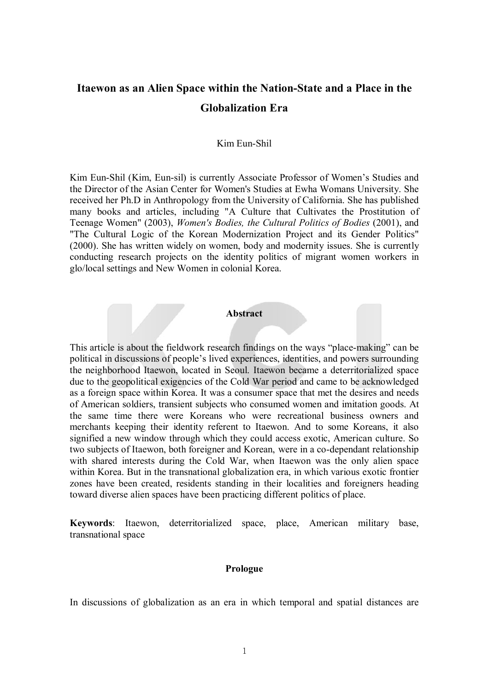# **Itaewon as an Alien Space within the Nation-State and a Place in the Globalization Era**

#### Kim Eun-Shil

Kim Eun-Shil (Kim, Eun-sil) is currently Associate Professor of Women's Studies and the Director of the Asian Center for Women's Studies at Ewha Womans University. She received her Ph.D in Anthropology from the University of California. She has published many books and articles, including "A Culture that Cultivates the Prostitution of Teenage Women" (2003), *Women's Bodies, the Cultural Politics of Bodies* (2001), and "The Cultural Logic of the Korean Modernization Project and its Gender Politics" (2000). She has written widely on women, body and modernity issues. She is currently conducting research projects on the identity politics of migrant women workers in glo/local settings and New Women in colonial Korea.

#### **Abstract**

This article is about the fieldwork research findings on the ways "place-making" can be political in discussions of people's lived experiences, identities, and powers surrounding the neighborhood Itaewon, located in Seoul. Itaewon became a deterritorialized space due to the geopolitical exigencies of the Cold War period and came to be acknowledged as a foreign space within Korea. It was a consumer space that met the desires and needs of American soldiers, transient subjects who consumed women and imitation goods. At the same time there were Koreans who were recreational business owners and merchants keeping their identity referent to Itaewon. And to some Koreans, it also signified a new window through which they could access exotic, American culture. So two subjects of Itaewon, both foreigner and Korean, were in a co-dependant relationship with shared interests during the Cold War, when Itaewon was the only alien space within Korea. But in the transnational globalization era, in which various exotic frontier zones have been created, residents standing in their localities and foreigners heading toward diverse alien spaces have been practicing different politics of place.

**Keywords**: Itaewon, deterritorialized space, place, American military base, transnational space

#### **Prologue**

In discussions of globalization as an era in which temporal and spatial distances are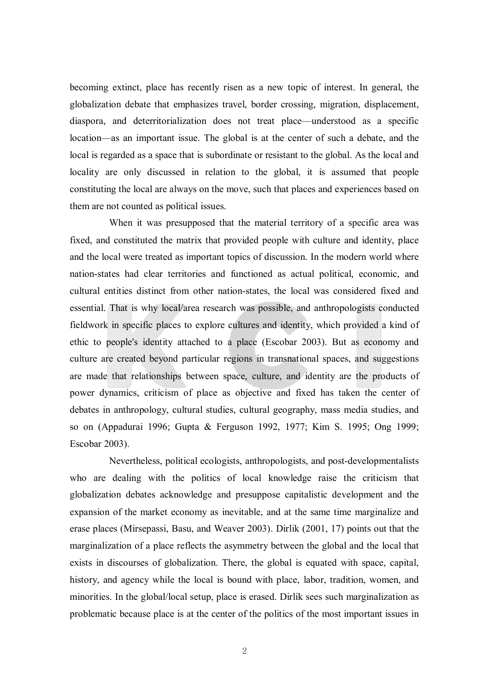becoming extinct, place has recently risen as a new topic of interest. In general, the globalization debate that emphasizes travel, border crossing, migration, displacement, diaspora, and deterritorialization does not treat place—understood as a specific location—as an important issue. The global is at the center of such a debate, and the local is regarded as a space that is subordinate or resistant to the global. As the local and locality are only discussed in relation to the global, it is assumed that people constituting the local are always on the move, such that places and experiences based on them are not counted as political issues.

When it was presupposed that the material territory of a specific area was fixed, and constituted the matrix that provided people with culture and identity, place and the local were treated as important topics of discussion. In the modern world where nation-states had clear territories and functioned as actual political, economic, and cultural entities distinct from other nation-states, the local was considered fixed and essential. That is why local/area research was possible, and anthropologists conducted fieldwork in specific places to explore cultures and identity, which provided a kind of ethic to people's identity attached to a place (Escobar 2003). But as economy and culture are created beyond particular regions in transnational spaces, and suggestions are made that relationships between space, culture, and identity are the products of power dynamics, criticism of place as objective and fixed has taken the center of debates in anthropology, cultural studies, cultural geography, mass media studies, and so on (Appadurai 1996; Gupta & Ferguson 1992, 1977; Kim S. 1995; Ong 1999; Escobar 2003).

Nevertheless, political ecologists, anthropologists, and post-developmentalists who are dealing with the politics of local knowledge raise the criticism that globalization debates acknowledge and presuppose capitalistic development and the expansion of the market economy as inevitable, and at the same time marginalize and erase places (Mirsepassi, Basu, and Weaver 2003). Dirlik (2001, 17) points out that the marginalization of a place reflects the asymmetry between the global and the local that exists in discourses of globalization. There, the global is equated with space, capital, history, and agency while the local is bound with place, labor, tradition, women, and minorities. In the global/local setup, place is erased. Dirlik sees such marginalization as problematic because place is at the center of the politics of the most important issues in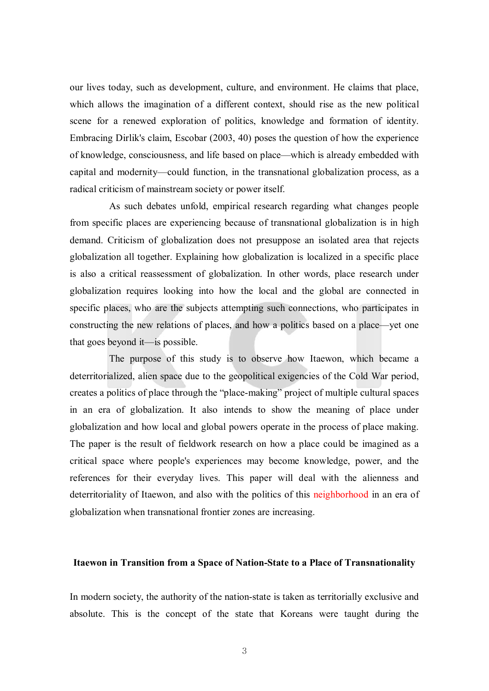our lives today, such as development, culture, and environment. He claims that place, which allows the imagination of a different context, should rise as the new political scene for a renewed exploration of politics, knowledge and formation of identity. Embracing Dirlik's claim, Escobar (2003, 40) poses the question of how the experience of knowledge, consciousness, and life based on place—which is already embedded with capital and modernity—could function, in the transnational globalization process, as a radical criticism of mainstream society or power itself.

As such debates unfold, empirical research regarding what changes people from specific places are experiencing because of transnational globalization is in high demand. Criticism of globalization does not presuppose an isolated area that rejects globalization all together. Explaining how globalization is localized in a specific place is also a critical reassessment of globalization. In other words, place research under globalization requires looking into how the local and the global are connected in specific places, who are the subjects attempting such connections, who participates in constructing the new relations of places, and how a politics based on a place—yet one that goes beyond it—is possible.

The purpose of this study is to observe how Itaewon, which became a deterritorialized, alien space due to the geopolitical exigencies of the Cold War period, creates a politics of place through the "place-making" project of multiple cultural spaces in an era of globalization. It also intends to show the meaning of place under globalization and how local and global powers operate in the process of place making. The paper is the result of fieldwork research on how a place could be imagined as a critical space where people's experiences may become knowledge, power, and the references for their everyday lives. This paper will deal with the alienness and deterritoriality of Itaewon, and also with the politics of this neighborhood in an era of globalization when transnational frontier zones are increasing.

## **Itaewon in Transition from a Space of Nation-State to a Place of Transnationality**

In modern society, the authority of the nation-state is taken as territorially exclusive and absolute. This is the concept of the state that Koreans were taught during the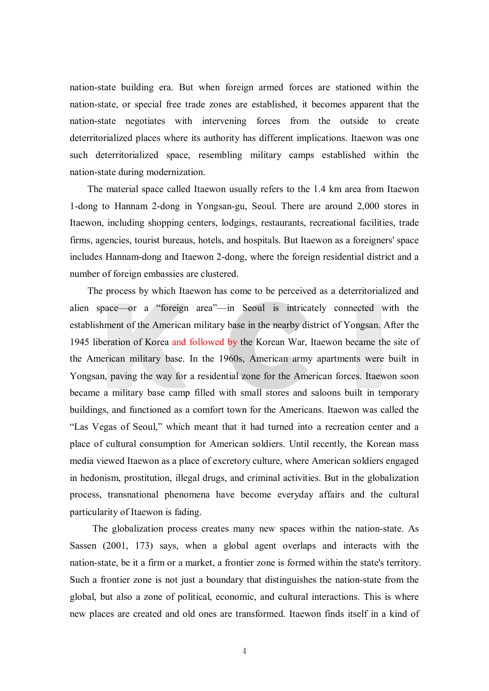nation-state building era. But when foreign armed forces are stationed within the nation-state, or special free trade zones are established, it becomes apparent that the nation-state negotiates with intervening forces from the outside to create deterritorialized places where its authority has different implications. Itaewon was one such deterritorialized space, resembling military camps established within the nation-state during modernization.

The material space called Itaewon usually refers to the 1.4 km area from Itaewon 1-dong to Hannam 2-dong in Yongsan-gu, Seoul. There are around 2,000 stores in Itaewon, including shopping centers, lodgings, restaurants, recreational facilities, trade firms, agencies, tourist bureaus, hotels, and hospitals. But Itaewon as a foreigners' space includes Hannam-dong and Itaewon 2-dong, where the foreign residential district and a number of foreign embassies are clustered.

The process by which Itaewon has come to be perceived as a deterritorialized and alien space—or a "foreign area"—in Seoul is intricately connected with the establishment of the American military base in the nearby district of Yongsan. After the 1945 liberation of Korea and followed by the Korean War, Itaewon became the site of the American military base. In the 1960s, American army apartments were built in Yongsan, paving the way for a residential zone for the American forces. Itaewon soon became a military base camp filled with small stores and saloons built in temporary buildings, and functioned as a comfort town for the Americans. Itaewon was called the "Las Vegas of Seoul," which meant that it had turned into a recreation center and a place of cultural consumption for American soldiers. Until recently, the Korean mass media viewed Itaewon as a place of excretory culture, where American soldiers engaged in hedonism, prostitution, illegal drugs, and criminal activities. But in the globalization process, transnational phenomena have become everyday affairs and the cultural particularity of Itaewon is fading.

The globalization process creates many new spaces within the nation-state. As Sassen (2001, 173) says, when a global agent overlaps and interacts with the nation-state, be it a firm or a market, a frontier zone is formed within the state's territory. Such a frontier zone is not just a boundary that distinguishes the nation-state from the global, but also a zone of political, economic, and cultural interactions. This is where new places are created and old ones are transformed. Itaewon finds itself in a kind of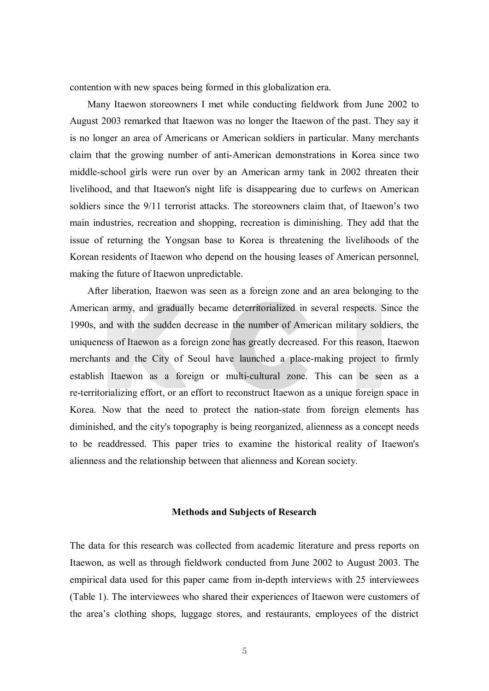contention with new spaces being formed in this globalization era.

Many Itaewon storeowners I met while conducting fieldwork from June 2002 to August 2003 remarked that Itaewon was no longer the Itaewon of the past. They say it is no longer an area of Americans or American soldiers in particular. Many merchants claim that the growing number of anti-American demonstrations in Korea since two middle-school girls were run over by an American army tank in 2002 threaten their livelihood, and that Itaewon's night life is disappearing due to curfews on American soldiers since the 9/11 terrorist attacks. The storeowners claim that, of Itaewon's two main industries, recreation and shopping, recreation is diminishing. They add that the issue of returning the Yongsan base to Korea is threatening the livelihoods of the Korean residents of Itaewon who depend on the housing leases of American personnel, making the future of Itaewon unpredictable.

After liberation, Itaewon was seen as a foreign zone and an area belonging to the American army, and gradually became deterritorialized in several respects. Since the 1990s, and with the sudden decrease in the number of American military soldiers, the uniqueness of Itaewon as a foreign zone has greatly decreased. For this reason, Itaewon merchants and the City of Seoul have launched a place-making project to firmly establish Itaewon as a foreign or multi-cultural zone. This can be seen as a re-territorializing effort, or an effort to reconstruct Itaewon as a unique foreign space in Korea. Now that the need to protect the nation-state from foreign elements has diminished, and the city's topography is being reorganized, alienness as a concept needs to be readdressed. This paper tries to examine the historical reality of Itaewon's alienness and the relationship between that alienness and Korean society.

#### **Methods and Subjects of Research**

The data for this research was collected from academic literature and press reports on Itaewon, as well as through fieldwork conducted from June 2002 to August 2003. The empirical data used for this paper came from in-depth interviews with 25 interviewees (Table 1). The interviewees who shared their experiences of Itaewon were customers of the area's clothing shops, luggage stores, and restaurants, employees of the district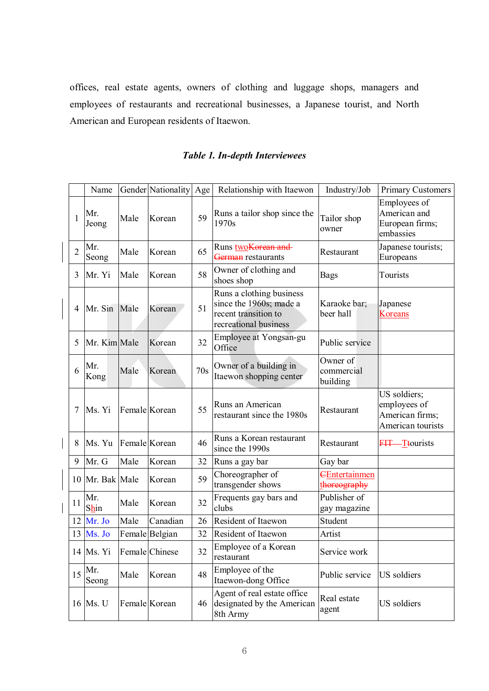offices, real estate agents, owners of clothing and luggage shops, managers and employees of restaurants and recreational businesses, a Japanese tourist, and North American and European residents of Itaewon.

|                | Name         |      | Gender Nationality | Age | Relationship with Itaewon                                                                            | Industry/Job                         | <b>Primary Customers</b>                                             |
|----------------|--------------|------|--------------------|-----|------------------------------------------------------------------------------------------------------|--------------------------------------|----------------------------------------------------------------------|
|                |              |      |                    |     |                                                                                                      |                                      | Employees of                                                         |
| $\mathbf{1}$   | Mr.<br>Jeong | Male | Korean             | 59  | Runs a tailor shop since the<br>1970s                                                                | Tailor shop<br>owner                 | American and<br>European firms;<br>embassies                         |
| $\overline{2}$ | Mr.<br>Seong | Male | Korean             | 65  | Runs two Korean and<br><del>German</del> restaurants                                                 | Restaurant                           | Japanese tourists;<br>Europeans                                      |
| 3              | Mr. Yi       | Male | Korean             | 58  | Owner of clothing and<br>shoes shop                                                                  | <b>Bags</b>                          | Tourists                                                             |
| 4              | Mr. Sin Male |      | Korean             | 51  | Runs a clothing business<br>since the 1960s; made a<br>recent transition to<br>recreational business | Karaoke bar;<br>beer hall            | Japanese<br><b>Koreans</b>                                           |
| 5              | Mr. Kim Male |      | Korean             | 32  | Employee at Yongsan-gu<br>Office                                                                     | Public service                       |                                                                      |
| 6              | Mr.<br>Kong  | Male | Korean             | 70s | Owner of a building in<br>Itaewon shopping center                                                    | Owner of<br>commercial<br>building   |                                                                      |
| 7              | Ms. Yi       |      | Female Korean      | 55  | Runs an American<br>restaurant since the 1980s                                                       | Restaurant                           | US soldiers;<br>employees of<br>American firms;<br>American tourists |
| 8              | Ms. Yu       |      | Female Korean      | 46  | Runs a Korean restaurant<br>since the 1990s                                                          | Restaurant                           | <b>FIT</b> —Ttourists                                                |
| 9              | Mr. G        | Male | Korean             | 32  | Runs a gay bar                                                                                       | Gay bar                              |                                                                      |
| 10             | Mr. Bak Male |      | Korean             | 59  | Choreographer of<br>transgender shows                                                                | <b>CEntertainmen</b><br>thoreography |                                                                      |
| 11             | Mr.<br>Shin  | Male | Korean             | 32  | Frequents gay bars and<br>clubs                                                                      | Publisher of<br>gay magazine         |                                                                      |
| 12             | Mr. Jo       | Male | Canadian           | 26  | Resident of Itaewon                                                                                  | Student                              |                                                                      |
| 13             | Ms. Jo       |      | Female Belgian     | 32  | Resident of Itaewon                                                                                  | Artist                               |                                                                      |
|                | 14 Ms. Yi    |      | Female Chinese     | 32  | Employee of a Korean<br>restaurant                                                                   | Service work                         |                                                                      |
| 15             | Mr.<br>Seong | Male | Korean             | 48  | Employee of the<br>Itaewon-dong Office                                                               | Public service                       | US soldiers                                                          |
|                | 16 Ms. U     |      | Female Korean      | 46  | Agent of real estate office<br>designated by the American<br>8th Army                                | Real estate<br>agent                 | US soldiers                                                          |

# *Table 1. In-depth Interviewees*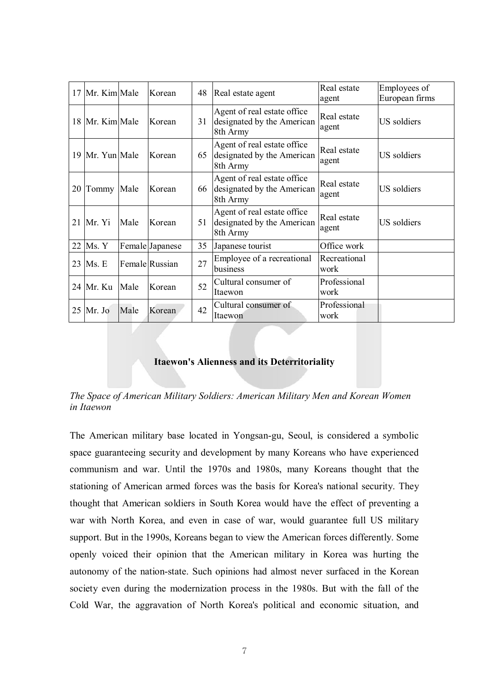| 17 | Mr. Kim Male    |      | Korean          | 48 | Real estate agent                                                     | Real estate<br>agent | Employees of<br>European firms |
|----|-----------------|------|-----------------|----|-----------------------------------------------------------------------|----------------------|--------------------------------|
|    | 18 Mr. Kim Male |      | Korean          | 31 | Agent of real estate office<br>designated by the American<br>8th Army | Real estate<br>agent | US soldiers                    |
|    | 19 Mr. Yun Male |      | Korean          | 65 | Agent of real estate office<br>designated by the American<br>8th Army | Real estate<br>agent | US soldiers                    |
|    | 20 Tommy Male   |      | Korean          | 66 | Agent of real estate office<br>designated by the American<br>8th Army | Real estate<br>agent | US soldiers                    |
| 21 | Mr. Yi          | Male | Korean          | 51 | Agent of real estate office<br>designated by the American<br>8th Army | Real estate<br>agent | <b>US</b> soldiers             |
| 22 | Ms. Y           |      | Female Japanese | 35 | Japanese tourist                                                      | Office work          |                                |
| 23 | Ms. E           |      | Female Russian  | 27 | Employee of a recreational<br>business                                | Recreational<br>work |                                |
|    | 24 Mr. Ku       | Male | Korean          | 52 | Cultural consumer of<br>Itaewon                                       | Professional<br>work |                                |
| 25 | Mr. Jo          | Male | Korean          | 42 | Cultural consumer of<br>Itaewon                                       | Professional<br>work |                                |

#### **Itaewon's Alienness and its Deterritoriality**

*The Space of American Military Soldiers: American Military Men and Korean Women in Itaewon*

The American military base located in Yongsan-gu, Seoul, is considered a symbolic space guaranteeing security and development by many Koreans who have experienced communism and war. Until the 1970s and 1980s, many Koreans thought that the stationing of American armed forces was the basis for Korea's national security. They thought that American soldiers in South Korea would have the effect of preventing a war with North Korea, and even in case of war, would guarantee full US military support. But in the 1990s, Koreans began to view the American forces differently. Some openly voiced their opinion that the American military in Korea was hurting the autonomy of the nation-state. Such opinions had almost never surfaced in the Korean society even during the modernization process in the 1980s. But with the fall of the Cold War, the aggravation of North Korea's political and economic situation, and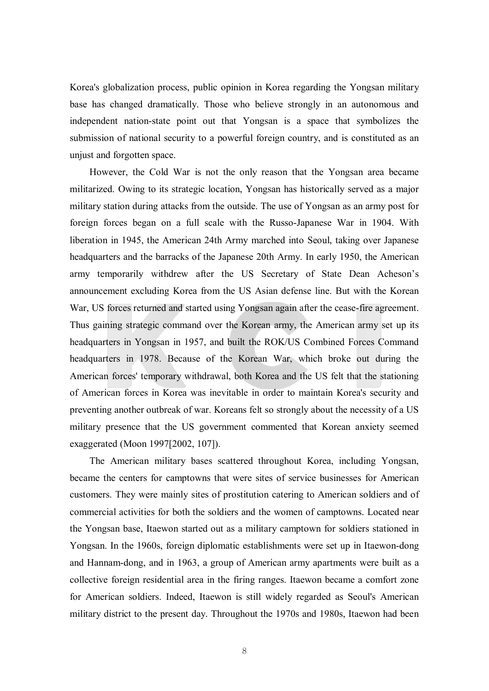Korea's globalization process, public opinion in Korea regarding the Yongsan military base has changed dramatically. Those who believe strongly in an autonomous and independent nation-state point out that Yongsan is a space that symbolizes the submission of national security to a powerful foreign country, and is constituted as an unjust and forgotten space.

However, the Cold War is not the only reason that the Yongsan area became militarized. Owing to its strategic location, Yongsan has historically served as a major military station during attacks from the outside. The use of Yongsan as an army post for foreign forces began on a full scale with the Russo-Japanese War in 1904. With liberation in 1945, the American 24th Army marched into Seoul, taking over Japanese headquarters and the barracks of the Japanese 20th Army. In early 1950, the American army temporarily withdrew after the US Secretary of State Dean Acheson's announcement excluding Korea from the US Asian defense line. But with the Korean War, US forces returned and started using Yongsan again after the cease-fire agreement. Thus gaining strategic command over the Korean army, the American army set up its headquarters in Yongsan in 1957, and built the ROK/US Combined Forces Command headquarters in 1978. Because of the Korean War, which broke out during the American forces' temporary withdrawal, both Korea and the US felt that the stationing of American forces in Korea was inevitable in order to maintain Korea's security and preventing another outbreak of war. Koreans felt so strongly about the necessity of a US military presence that the US government commented that Korean anxiety seemed exaggerated (Moon 1997[2002, 107]).

The American military bases scattered throughout Korea, including Yongsan, became the centers for camptowns that were sites of service businesses for American customers. They were mainly sites of prostitution catering to American soldiers and of commercial activities for both the soldiers and the women of camptowns. Located near the Yongsan base, Itaewon started out as a military camptown for soldiers stationed in Yongsan. In the 1960s, foreign diplomatic establishments were set up in Itaewon-dong and Hannam-dong, and in 1963, a group of American army apartments were built as a collective foreign residential area in the firing ranges. Itaewon became a comfort zone for American soldiers. Indeed, Itaewon is still widely regarded as Seoul's American military district to the present day. Throughout the 1970s and 1980s, Itaewon had been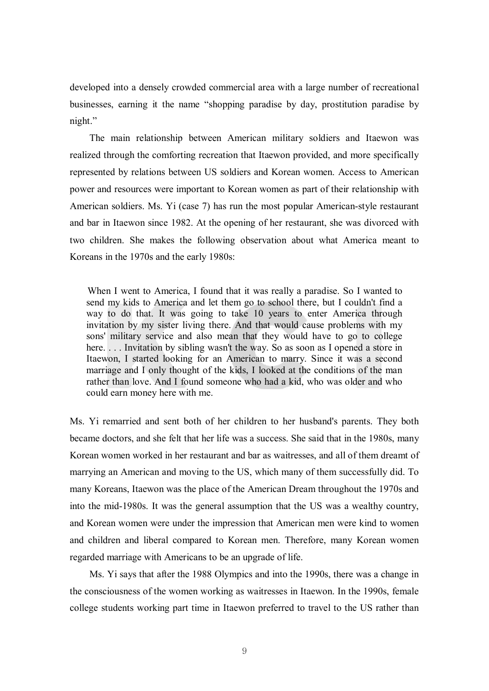developed into a densely crowded commercial area with a large number of recreational businesses, earning it the name "shopping paradise by day, prostitution paradise by night."

The main relationship between American military soldiers and Itaewon was realized through the comforting recreation that Itaewon provided, and more specifically represented by relations between US soldiers and Korean women. Access to American power and resources were important to Korean women as part of their relationship with American soldiers. Ms. Yi (case 7) has run the most popular American-style restaurant and bar in Itaewon since 1982. At the opening of her restaurant, she was divorced with two children. She makes the following observation about what America meant to Koreans in the 1970s and the early 1980s:

When I went to America, I found that it was really a paradise. So I wanted to send my kids to America and let them go to school there, but I couldn't find a way to do that. It was going to take 10 years to enter America through invitation by my sister living there. And that would cause problems with my sons' military service and also mean that they would have to go to college here. . . . Invitation by sibling wasn't the way. So as soon as I opened a store in Itaewon, I started looking for an American to marry. Since it was a second marriage and I only thought of the kids, I looked at the conditions of the man rather than love. And I found someone who had a kid, who was older and who could earn money here with me.

Ms. Yi remarried and sent both of her children to her husband's parents. They both became doctors, and she felt that her life was a success. She said that in the 1980s, many Korean women worked in her restaurant and bar as waitresses, and all of them dreamt of marrying an American and moving to the US, which many of them successfully did. To many Koreans, Itaewon was the place of the American Dream throughout the 1970s and into the mid-1980s. It was the general assumption that the US was a wealthy country, and Korean women were under the impression that American men were kind to women and children and liberal compared to Korean men. Therefore, many Korean women regarded marriage with Americans to be an upgrade of life.

Ms. Yi says that after the 1988 Olympics and into the 1990s, there was a change in the consciousness of the women working as waitresses in Itaewon. In the 1990s, female college students working part time in Itaewon preferred to travel to the US rather than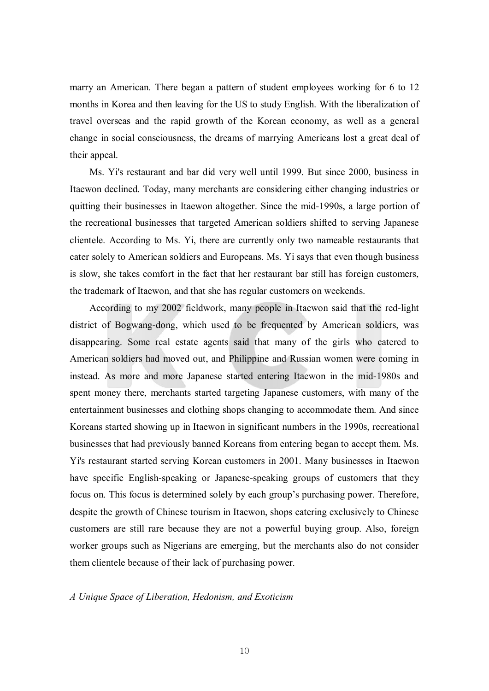marry an American. There began a pattern of student employees working for 6 to 12 months in Korea and then leaving for the US to study English. With the liberalization of travel overseas and the rapid growth of the Korean economy, as well as a general change in social consciousness, the dreams of marrying Americans lost a great deal of their appeal.

Ms. Yi's restaurant and bar did very well until 1999. But since 2000, business in Itaewon declined. Today, many merchants are considering either changing industries or quitting their businesses in Itaewon altogether. Since the mid-1990s, a large portion of the recreational businesses that targeted American soldiers shifted to serving Japanese clientele. According to Ms. Yi, there are currently only two nameable restaurants that cater solely to American soldiers and Europeans. Ms. Yi says that even though business is slow, she takes comfort in the fact that her restaurant bar still has foreign customers, the trademark of Itaewon, and that she has regular customers on weekends.

According to my 2002 fieldwork, many people in Itaewon said that the red-light district of Bogwang-dong, which used to be frequented by American soldiers, was disappearing. Some real estate agents said that many of the girls who catered to American soldiers had moved out, and Philippine and Russian women were coming in instead. As more and more Japanese started entering Itaewon in the mid-1980s and spent money there, merchants started targeting Japanese customers, with many of the entertainment businesses and clothing shops changing to accommodate them. And since Koreans started showing up in Itaewon in significant numbers in the 1990s, recreational businesses that had previously banned Koreans from entering began to accept them. Ms. Yi's restaurant started serving Korean customers in 2001. Many businesses in Itaewon have specific English-speaking or Japanese-speaking groups of customers that they focus on. This focus is determined solely by each group's purchasing power. Therefore, despite the growth of Chinese tourism in Itaewon, shops catering exclusively to Chinese customers are still rare because they are not a powerful buying group. Also, foreign worker groups such as Nigerians are emerging, but the merchants also do not consider them clientele because of their lack of purchasing power.

#### *A Unique Space of Liberation, Hedonism, and Exoticism*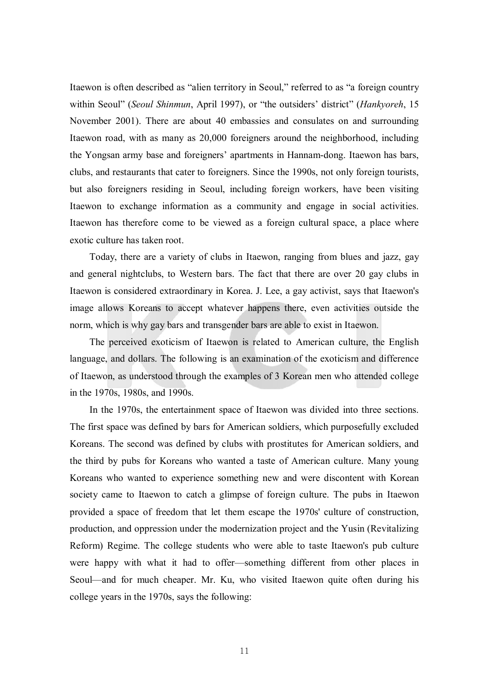Itaewon is often described as "alien territory in Seoul," referred to as "a foreign country within Seoul" (*Seoul Shinmun*, April 1997), or "the outsiders' district" (*Hankyoreh*, 15 November 2001). There are about 40 embassies and consulates on and surrounding Itaewon road, with as many as 20,000 foreigners around the neighborhood, including the Yongsan army base and foreigners' apartments in Hannam-dong. Itaewon has bars, clubs, and restaurants that cater to foreigners. Since the 1990s, not only foreign tourists, but also foreigners residing in Seoul, including foreign workers, have been visiting Itaewon to exchange information as a community and engage in social activities. Itaewon has therefore come to be viewed as a foreign cultural space, a place where exotic culture has taken root.

Today, there are a variety of clubs in Itaewon, ranging from blues and jazz, gay and general nightclubs, to Western bars. The fact that there are over 20 gay clubs in Itaewon is considered extraordinary in Korea. J. Lee, a gay activist, says that Itaewon's image allows Koreans to accept whatever happens there, even activities outside the norm, which is why gay bars and transgender bars are able to exist in Itaewon.

The perceived exoticism of Itaewon is related to American culture, the English language, and dollars. The following is an examination of the exoticism and difference of Itaewon, as understood through the examples of 3 Korean men who attended college in the 1970s, 1980s, and 1990s.

In the 1970s, the entertainment space of Itaewon was divided into three sections. The first space was defined by bars for American soldiers, which purposefully excluded Koreans. The second was defined by clubs with prostitutes for American soldiers, and the third by pubs for Koreans who wanted a taste of American culture. Many young Koreans who wanted to experience something new and were discontent with Korean society came to Itaewon to catch a glimpse of foreign culture. The pubs in Itaewon provided a space of freedom that let them escape the 1970s' culture of construction, production, and oppression under the modernization project and the Yusin (Revitalizing Reform) Regime. The college students who were able to taste Itaewon's pub culture were happy with what it had to offer—something different from other places in Seoul—and for much cheaper. Mr. Ku, who visited Itaewon quite often during his college years in the 1970s, says the following: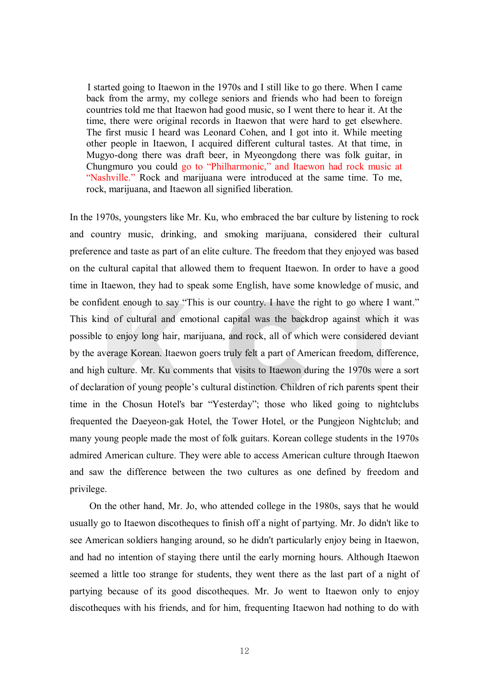I started going to Itaewon in the 1970s and I still like to go there. When I came back from the army, my college seniors and friends who had been to foreign countries told me that Itaewon had good music, so I went there to hear it. At the time, there were original records in Itaewon that were hard to get elsewhere. The first music I heard was Leonard Cohen, and I got into it. While meeting other people in Itaewon, I acquired different cultural tastes. At that time, in Mugyo-dong there was draft beer, in Myeongdong there was folk guitar, in Chungmuro you could go to "Philharmonic," and Itaewon had rock music at "Nashville." Rock and marijuana were introduced at the same time. To me, rock, marijuana, and Itaewon all signified liberation.

In the 1970s, youngsters like Mr. Ku, who embraced the bar culture by listening to rock and country music, drinking, and smoking marijuana, considered their cultural preference and taste as part of an elite culture. The freedom that they enjoyed was based on the cultural capital that allowed them to frequent Itaewon. In order to have a good time in Itaewon, they had to speak some English, have some knowledge of music, and be confident enough to say "This is our country. I have the right to go where I want." This kind of cultural and emotional capital was the backdrop against which it was possible to enjoy long hair, marijuana, and rock, all of which were considered deviant by the average Korean. Itaewon goers truly felt a part of American freedom, difference, and high culture. Mr. Ku comments that visits to Itaewon during the 1970s were a sort of declaration of young people's cultural distinction. Children of rich parents spent their time in the Chosun Hotel's bar "Yesterday"; those who liked going to nightclubs frequented the Daeyeon-gak Hotel, the Tower Hotel, or the Pungjeon Nightclub; and many young people made the most of folk guitars. Korean college students in the 1970s admired American culture. They were able to access American culture through Itaewon and saw the difference between the two cultures as one defined by freedom and privilege.

On the other hand, Mr. Jo, who attended college in the 1980s, says that he would usually go to Itaewon discotheques to finish off a night of partying. Mr. Jo didn't like to see American soldiers hanging around, so he didn't particularly enjoy being in Itaewon, and had no intention of staying there until the early morning hours. Although Itaewon seemed a little too strange for students, they went there as the last part of a night of partying because of its good discotheques. Mr. Jo went to Itaewon only to enjoy discotheques with his friends, and for him, frequenting Itaewon had nothing to do with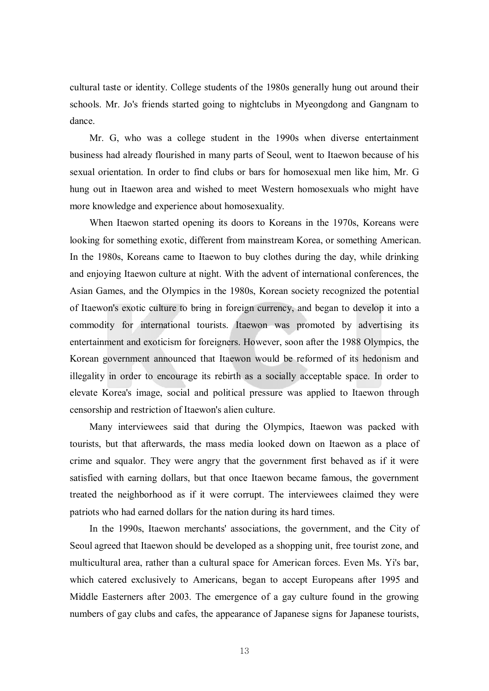cultural taste or identity. College students of the 1980s generally hung out around their schools. Mr. Jo's friends started going to nightclubs in Myeongdong and Gangnam to dance.

Mr. G, who was a college student in the 1990s when diverse entertainment business had already flourished in many parts of Seoul, went to Itaewon because of his sexual orientation. In order to find clubs or bars for homosexual men like him, Mr. G hung out in Itaewon area and wished to meet Western homosexuals who might have more knowledge and experience about homosexuality.

When Itaewon started opening its doors to Koreans in the 1970s, Koreans were looking for something exotic, different from mainstream Korea, or something American. In the 1980s, Koreans came to Itaewon to buy clothes during the day, while drinking and enjoying Itaewon culture at night. With the advent of international conferences, the Asian Games, and the Olympics in the 1980s, Korean society recognized the potential of Itaewon's exotic culture to bring in foreign currency, and began to develop it into a commodity for international tourists. Itaewon was promoted by advertising its entertainment and exoticism for foreigners. However, soon after the 1988 Olympics, the Korean government announced that Itaewon would be reformed of its hedonism and illegality in order to encourage its rebirth as a socially acceptable space. In order to elevate Korea's image, social and political pressure was applied to Itaewon through censorship and restriction of Itaewon's alien culture.

Many interviewees said that during the Olympics, Itaewon was packed with tourists, but that afterwards, the mass media looked down on Itaewon as a place of crime and squalor. They were angry that the government first behaved as if it were satisfied with earning dollars, but that once Itaewon became famous, the government treated the neighborhood as if it were corrupt. The interviewees claimed they were patriots who had earned dollars for the nation during its hard times.

In the 1990s, Itaewon merchants' associations, the government, and the City of Seoul agreed that Itaewon should be developed as a shopping unit, free tourist zone, and multicultural area, rather than a cultural space for American forces. Even Ms. Yi's bar, which catered exclusively to Americans, began to accept Europeans after 1995 and Middle Easterners after 2003. The emergence of a gay culture found in the growing numbers of gay clubs and cafes, the appearance of Japanese signs for Japanese tourists,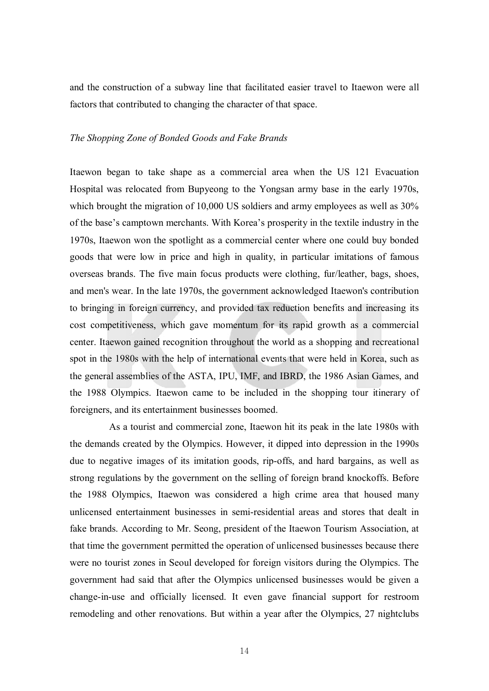and the construction of a subway line that facilitated easier travel to Itaewon were all factors that contributed to changing the character of that space.

#### *The Shopping Zone of Bonded Goods and Fake Brands*

Itaewon began to take shape as a commercial area when the US 121 Evacuation Hospital was relocated from Bupyeong to the Yongsan army base in the early 1970s, which brought the migration of 10,000 US soldiers and army employees as well as  $30\%$ of the base's camptown merchants. With Korea's prosperity in the textile industry in the 1970s, Itaewon won the spotlight as a commercial center where one could buy bonded goods that were low in price and high in quality, in particular imitations of famous overseas brands. The five main focus products were clothing, fur/leather, bags, shoes, and men's wear. In the late 1970s, the government acknowledged Itaewon's contribution to bringing in foreign currency, and provided tax reduction benefits and increasing its cost competitiveness, which gave momentum for its rapid growth as a commercial center. Itaewon gained recognition throughout the world as a shopping and recreational spot in the 1980s with the help of international events that were held in Korea, such as the general assemblies of the ASTA, IPU, IMF, and IBRD, the 1986 Asian Games, and the 1988 Olympics. Itaewon came to be included in the shopping tour itinerary of foreigners, and its entertainment businesses boomed.

As a tourist and commercial zone, Itaewon hit its peak in the late 1980s with the demands created by the Olympics. However, it dipped into depression in the 1990s due to negative images of its imitation goods, rip-offs, and hard bargains, as well as strong regulations by the government on the selling of foreign brand knockoffs. Before the 1988 Olympics, Itaewon was considered a high crime area that housed many unlicensed entertainment businesses in semi-residential areas and stores that dealt in fake brands. According to Mr. Seong, president of the Itaewon Tourism Association, at that time the government permitted the operation of unlicensed businesses because there were no tourist zones in Seoul developed for foreign visitors during the Olympics. The government had said that after the Olympics unlicensed businesses would be given a change-in-use and officially licensed. It even gave financial support for restroom remodeling and other renovations. But within a year after the Olympics, 27 nightclubs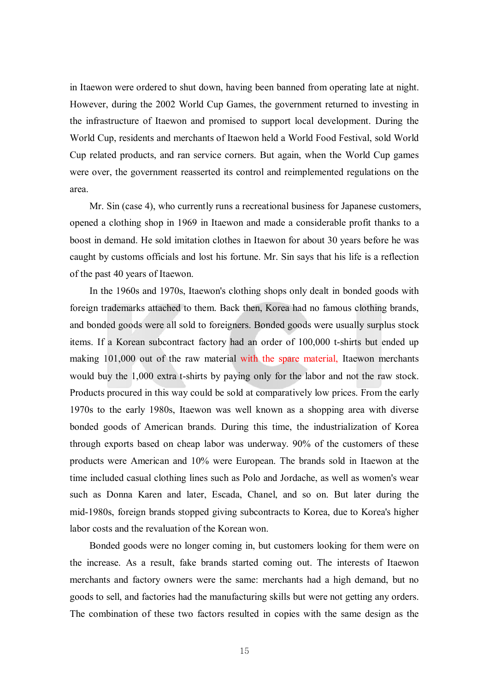in Itaewon were ordered to shut down, having been banned from operating late at night. However, during the 2002 World Cup Games, the government returned to investing in the infrastructure of Itaewon and promised to support local development. During the World Cup, residents and merchants of Itaewon held a World Food Festival, sold World Cup related products, and ran service corners. But again, when the World Cup games were over, the government reasserted its control and reimplemented regulations on the area.

Mr. Sin (case 4), who currently runs a recreational business for Japanese customers, opened a clothing shop in 1969 in Itaewon and made a considerable profit thanks to a boost in demand. He sold imitation clothes in Itaewon for about 30 years before he was caught by customs officials and lost his fortune. Mr. Sin says that his life is a reflection of the past 40 years of Itaewon.

In the 1960s and 1970s, Itaewon's clothing shops only dealt in bonded goods with foreign trademarks attached to them. Back then, Korea had no famous clothing brands, and bonded goods were all sold to foreigners. Bonded goods were usually surplus stock items. If a Korean subcontract factory had an order of 100,000 t-shirts but ended up making 101,000 out of the raw material with the spare material, Itaewon merchants would buy the 1,000 extra t-shirts by paying only for the labor and not the raw stock. Products procured in this way could be sold at comparatively low prices. From the early 1970s to the early 1980s, Itaewon was well known as a shopping area with diverse bonded goods of American brands. During this time, the industrialization of Korea through exports based on cheap labor was underway. 90% of the customers of these products were American and 10% were European. The brands sold in Itaewon at the time included casual clothing lines such as Polo and Jordache, as well as women's wear such as Donna Karen and later, Escada, Chanel, and so on. But later during the mid-1980s, foreign brands stopped giving subcontracts to Korea, due to Korea's higher labor costs and the revaluation of the Korean won.

Bonded goods were no longer coming in, but customers looking for them were on the increase. As a result, fake brands started coming out. The interests of Itaewon merchants and factory owners were the same: merchants had a high demand, but no goods to sell, and factories had the manufacturing skills but were not getting any orders. The combination of these two factors resulted in copies with the same design as the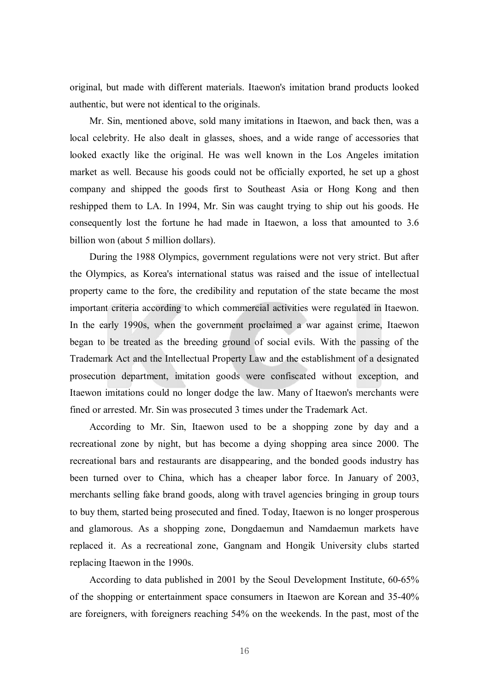original, but made with different materials. Itaewon's imitation brand products looked authentic, but were not identical to the originals.

Mr. Sin, mentioned above, sold many imitations in Itaewon, and back then, was a local celebrity. He also dealt in glasses, shoes, and a wide range of accessories that looked exactly like the original. He was well known in the Los Angeles imitation market as well. Because his goods could not be officially exported, he set up a ghost company and shipped the goods first to Southeast Asia or Hong Kong and then reshipped them to LA. In 1994, Mr. Sin was caught trying to ship out his goods. He consequently lost the fortune he had made in Itaewon, a loss that amounted to 3.6 billion won (about 5 million dollars).

During the 1988 Olympics, government regulations were not very strict. But after the Olympics, as Korea's international status was raised and the issue of intellectual property came to the fore, the credibility and reputation of the state became the most important criteria according to which commercial activities were regulated in Itaewon. In the early 1990s, when the government proclaimed a war against crime, Itaewon began to be treated as the breeding ground of social evils. With the passing of the Trademark Act and the Intellectual Property Law and the establishment of a designated prosecution department, imitation goods were confiscated without exception, and Itaewon imitations could no longer dodge the law. Many of Itaewon's merchants were fined or arrested. Mr. Sin was prosecuted 3 times under the Trademark Act.

According to Mr. Sin, Itaewon used to be a shopping zone by day and a recreational zone by night, but has become a dying shopping area since 2000. The recreational bars and restaurants are disappearing, and the bonded goods industry has been turned over to China, which has a cheaper labor force. In January of 2003, merchants selling fake brand goods, along with travel agencies bringing in group tours to buy them, started being prosecuted and fined. Today, Itaewon is no longer prosperous and glamorous. As a shopping zone, Dongdaemun and Namdaemun markets have replaced it. As a recreational zone, Gangnam and Hongik University clubs started replacing Itaewon in the 1990s.

According to data published in 2001 by the Seoul Development Institute, 60-65% of the shopping or entertainment space consumers in Itaewon are Korean and 35-40% are foreigners, with foreigners reaching 54% on the weekends. In the past, most of the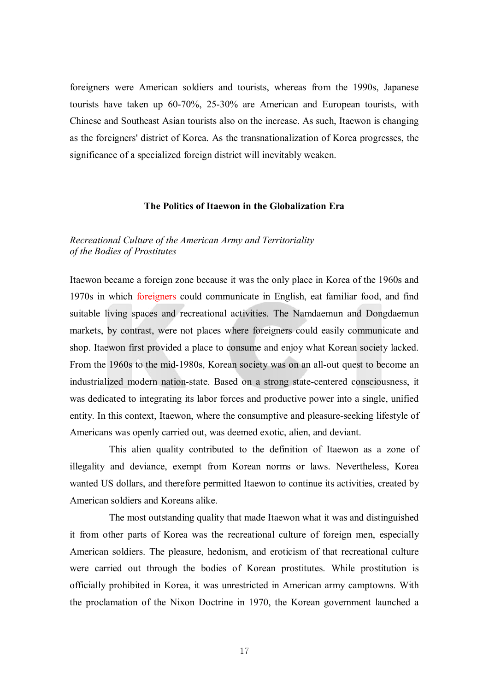foreigners were American soldiers and tourists, whereas from the 1990s, Japanese tourists have taken up 60-70%, 25-30% are American and European tourists, with Chinese and Southeast Asian tourists also on the increase. As such, Itaewon is changing as the foreigners' district of Korea. As the transnationalization of Korea progresses, the significance of a specialized foreign district will inevitably weaken.

## **The Politics of Itaewon in the Globalization Era**

# *Recreational Culture of the American Army and Territoriality of the Bodies of Prostitutes*

Itaewon became a foreign zone because it was the only place in Korea of the 1960s and 1970s in which foreigners could communicate in English, eat familiar food, and find suitable living spaces and recreational activities. The Namdaemun and Dongdaemun markets, by contrast, were not places where foreigners could easily communicate and shop. Itaewon first provided a place to consume and enjoy what Korean society lacked. From the 1960s to the mid-1980s, Korean society was on an all-out quest to become an industrialized modern nation-state. Based on a strong state-centered consciousness, it was dedicated to integrating its labor forces and productive power into a single, unified entity. In this context, Itaewon, where the consumptive and pleasure-seeking lifestyle of Americans was openly carried out, was deemed exotic, alien, and deviant.

This alien quality contributed to the definition of Itaewon as a zone of illegality and deviance, exempt from Korean norms or laws. Nevertheless, Korea wanted US dollars, and therefore permitted Itaewon to continue its activities, created by American soldiers and Koreans alike.

The most outstanding quality that made Itaewon what it was and distinguished it from other parts of Korea was the recreational culture of foreign men, especially American soldiers. The pleasure, hedonism, and eroticism of that recreational culture were carried out through the bodies of Korean prostitutes. While prostitution is officially prohibited in Korea, it was unrestricted in American army camptowns. With the proclamation of the Nixon Doctrine in 1970, the Korean government launched a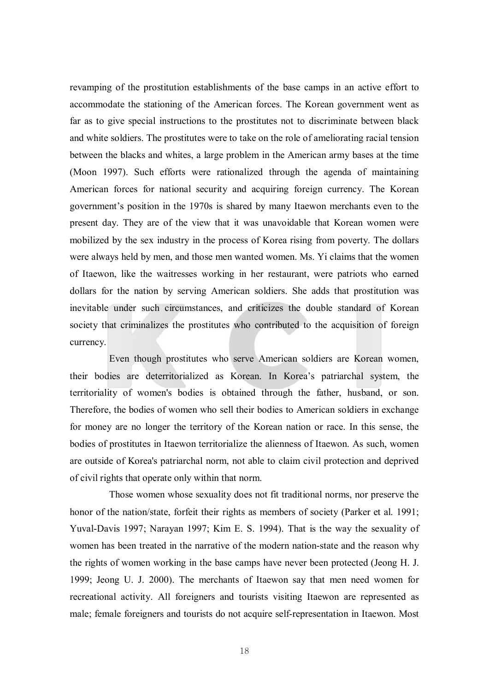revamping of the prostitution establishments of the base camps in an active effort to accommodate the stationing of the American forces. The Korean government went as far as to give special instructions to the prostitutes not to discriminate between black and white soldiers. The prostitutes were to take on the role of ameliorating racial tension between the blacks and whites, a large problem in the American army bases at the time (Moon 1997). Such efforts were rationalized through the agenda of maintaining American forces for national security and acquiring foreign currency. The Korean government's position in the 1970s is shared by many Itaewon merchants even to the present day. They are of the view that it was unavoidable that Korean women were mobilized by the sex industry in the process of Korea rising from poverty. The dollars were always held by men, and those men wanted women. Ms. Yi claims that the women of Itaewon, like the waitresses working in her restaurant, were patriots who earned dollars for the nation by serving American soldiers. She adds that prostitution was inevitable under such circumstances, and criticizes the double standard of Korean society that criminalizes the prostitutes who contributed to the acquisition of foreign currency.

Even though prostitutes who serve American soldiers are Korean women, their bodies are deterritorialized as Korean. In Korea's patriarchal system, the territoriality of women's bodies is obtained through the father, husband, or son. Therefore, the bodies of women who sell their bodies to American soldiers in exchange for money are no longer the territory of the Korean nation or race. In this sense, the bodies of prostitutes in Itaewon territorialize the alienness of Itaewon. As such, women are outside of Korea's patriarchal norm, not able to claim civil protection and deprived of civil rights that operate only within that norm.

Those women whose sexuality does not fit traditional norms, nor preserve the honor of the nation/state, forfeit their rights as members of society (Parker et al. 1991; Yuval-Davis 1997; Narayan 1997; Kim E. S. 1994). That is the way the sexuality of women has been treated in the narrative of the modern nation-state and the reason why the rights of women working in the base camps have never been protected (Jeong H. J. 1999; Jeong U. J. 2000). The merchants of Itaewon say that men need women for recreational activity. All foreigners and tourists visiting Itaewon are represented as male; female foreigners and tourists do not acquire self-representation in Itaewon. Most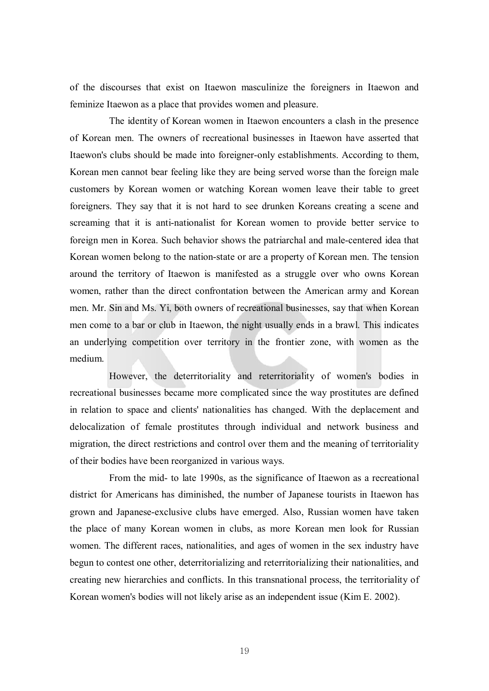of the discourses that exist on Itaewon masculinize the foreigners in Itaewon and feminize Itaewon as a place that provides women and pleasure.

The identity of Korean women in Itaewon encounters a clash in the presence of Korean men. The owners of recreational businesses in Itaewon have asserted that Itaewon's clubs should be made into foreigner-only establishments. According to them, Korean men cannot bear feeling like they are being served worse than the foreign male customers by Korean women or watching Korean women leave their table to greet foreigners. They say that it is not hard to see drunken Koreans creating a scene and screaming that it is anti-nationalist for Korean women to provide better service to foreign men in Korea. Such behavior shows the patriarchal and male-centered idea that Korean women belong to the nation-state or are a property of Korean men. The tension around the territory of Itaewon is manifested as a struggle over who owns Korean women, rather than the direct confrontation between the American army and Korean men. Mr. Sin and Ms. Yi, both owners of recreational businesses, say that when Korean men come to a bar or club in Itaewon, the night usually ends in a brawl. This indicates an underlying competition over territory in the frontier zone, with women as the medium.

However, the deterritoriality and reterritoriality of women's bodies in recreational businesses became more complicated since the way prostitutes are defined in relation to space and clients' nationalities has changed. With the deplacement and delocalization of female prostitutes through individual and network business and migration, the direct restrictions and control over them and the meaning of territoriality of their bodies have been reorganized in various ways.

From the mid- to late 1990s, as the significance of Itaewon as a recreational district for Americans has diminished, the number of Japanese tourists in Itaewon has grown and Japanese-exclusive clubs have emerged. Also, Russian women have taken the place of many Korean women in clubs, as more Korean men look for Russian women. The different races, nationalities, and ages of women in the sex industry have begun to contest one other, deterritorializing and reterritorializing their nationalities, and creating new hierarchies and conflicts. In this transnational process, the territoriality of Korean women's bodies will not likely arise as an independent issue (Kim E. 2002).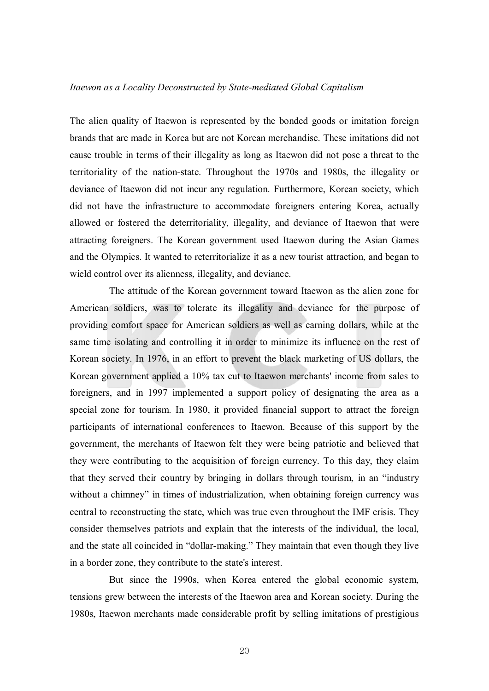#### *Itaewon as a Locality Deconstructed by State-mediated Global Capitalism*

The alien quality of Itaewon is represented by the bonded goods or imitation foreign brands that are made in Korea but are not Korean merchandise. These imitations did not cause trouble in terms of their illegality as long as Itaewon did not pose a threat to the territoriality of the nation-state. Throughout the 1970s and 1980s, the illegality or deviance of Itaewon did not incur any regulation. Furthermore, Korean society, which did not have the infrastructure to accommodate foreigners entering Korea, actually allowed or fostered the deterritoriality, illegality, and deviance of Itaewon that were attracting foreigners. The Korean government used Itaewon during the Asian Games and the Olympics. It wanted to reterritorialize it as a new tourist attraction, and began to wield control over its alienness, illegality, and deviance.

The attitude of the Korean government toward Itaewon as the alien zone for American soldiers, was to tolerate its illegality and deviance for the purpose of providing comfort space for American soldiers as well as earning dollars, while at the same time isolating and controlling it in order to minimize its influence on the rest of Korean society. In 1976, in an effort to prevent the black marketing of US dollars, the Korean government applied a 10% tax cut to Itaewon merchants' income from sales to foreigners, and in 1997 implemented a support policy of designating the area as a special zone for tourism. In 1980, it provided financial support to attract the foreign participants of international conferences to Itaewon. Because of this support by the government, the merchants of Itaewon felt they were being patriotic and believed that they were contributing to the acquisition of foreign currency. To this day, they claim that they served their country by bringing in dollars through tourism, in an "industry without a chimney" in times of industrialization, when obtaining foreign currency was central to reconstructing the state, which was true even throughout the IMF crisis. They consider themselves patriots and explain that the interests of the individual, the local, and the state all coincided in "dollar-making." They maintain that even though they live in a border zone, they contribute to the state's interest.

But since the 1990s, when Korea entered the global economic system, tensions grew between the interests of the Itaewon area and Korean society. During the 1980s, Itaewon merchants made considerable profit by selling imitations of prestigious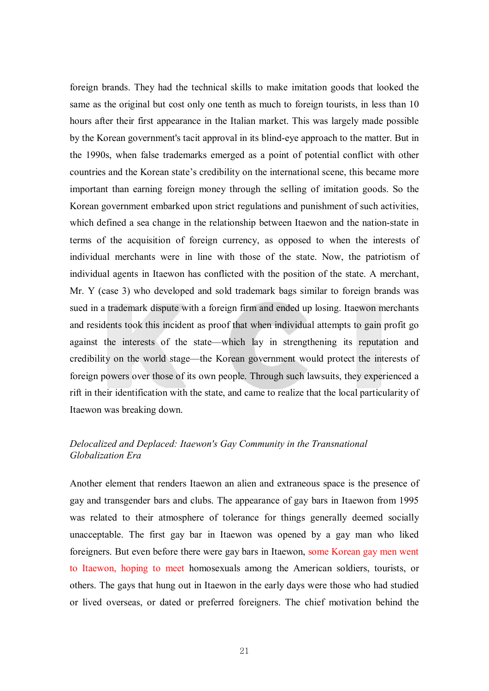foreign brands. They had the technical skills to make imitation goods that looked the same as the original but cost only one tenth as much to foreign tourists, in less than 10 hours after their first appearance in the Italian market. This was largely made possible by the Korean government's tacit approval in its blind-eye approach to the matter. But in the 1990s, when false trademarks emerged as a point of potential conflict with other countries and the Korean state's credibility on the international scene, this became more important than earning foreign money through the selling of imitation goods. So the Korean government embarked upon strict regulations and punishment of such activities, which defined a sea change in the relationship between Itaewon and the nation-state in terms of the acquisition of foreign currency, as opposed to when the interests of individual merchants were in line with those of the state. Now, the patriotism of individual agents in Itaewon has conflicted with the position of the state. A merchant, Mr. Y (case 3) who developed and sold trademark bags similar to foreign brands was sued in a trademark dispute with a foreign firm and ended up losing. Itaewon merchants and residents took this incident as proof that when individual attempts to gain profit go against the interests of the state—which lay in strengthening its reputation and credibility on the world stage—the Korean government would protect the interests of foreign powers over those of its own people. Through such lawsuits, they experienced a rift in their identification with the state, and came to realize that the local particularity of Itaewon was breaking down.

# *Delocalized and Deplaced: Itaewon's Gay Community in the Transnational Globalization Era*

Another element that renders Itaewon an alien and extraneous space is the presence of gay and transgender bars and clubs. The appearance of gay bars in Itaewon from 1995 was related to their atmosphere of tolerance for things generally deemed socially unacceptable. The first gay bar in Itaewon was opened by a gay man who liked foreigners. But even before there were gay bars in Itaewon, some Korean gay men went to Itaewon, hoping to meet homosexuals among the American soldiers, tourists, or others. The gays that hung out in Itaewon in the early days were those who had studied or lived overseas, or dated or preferred foreigners. The chief motivation behind the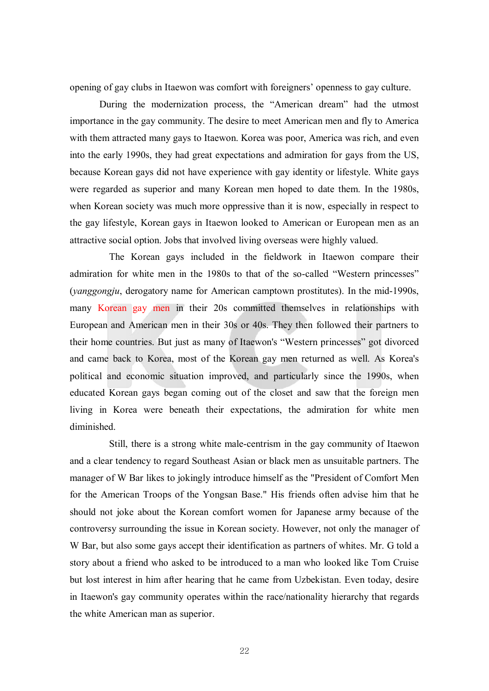opening of gay clubs in Itaewon was comfort with foreigners' openness to gay culture.

During the modernization process, the "American dream" had the utmost importance in the gay community. The desire to meet American men and fly to America with them attracted many gays to Itaewon. Korea was poor, America was rich, and even into the early 1990s, they had great expectations and admiration for gays from the US, because Korean gays did not have experience with gay identity or lifestyle. White gays were regarded as superior and many Korean men hoped to date them. In the 1980s, when Korean society was much more oppressive than it is now, especially in respect to the gay lifestyle, Korean gays in Itaewon looked to American or European men as an attractive social option. Jobs that involved living overseas were highly valued.

The Korean gays included in the fieldwork in Itaewon compare their admiration for white men in the 1980s to that of the so-called "Western princesses" (*yanggongju*, derogatory name for American camptown prostitutes). In the mid-1990s, many Korean gay men in their 20s committed themselves in relationships with European and American men in their 30s or 40s. They then followed their partners to their home countries. But just as many of Itaewon's "Western princesses" got divorced and came back to Korea, most of the Korean gay men returned as well. As Korea's political and economic situation improved, and particularly since the 1990s, when educated Korean gays began coming out of the closet and saw that the foreign men living in Korea were beneath their expectations, the admiration for white men diminished.

Still, there is a strong white male-centrism in the gay community of Itaewon and a clear tendency to regard Southeast Asian or black men as unsuitable partners. The manager of W Bar likes to jokingly introduce himself as the "President of Comfort Men for the American Troops of the Yongsan Base." His friends often advise him that he should not joke about the Korean comfort women for Japanese army because of the controversy surrounding the issue in Korean society. However, not only the manager of W Bar, but also some gays accept their identification as partners of whites. Mr. G told a story about a friend who asked to be introduced to a man who looked like Tom Cruise but lost interest in him after hearing that he came from Uzbekistan. Even today, desire in Itaewon's gay community operates within the race/nationality hierarchy that regards the white American man as superior.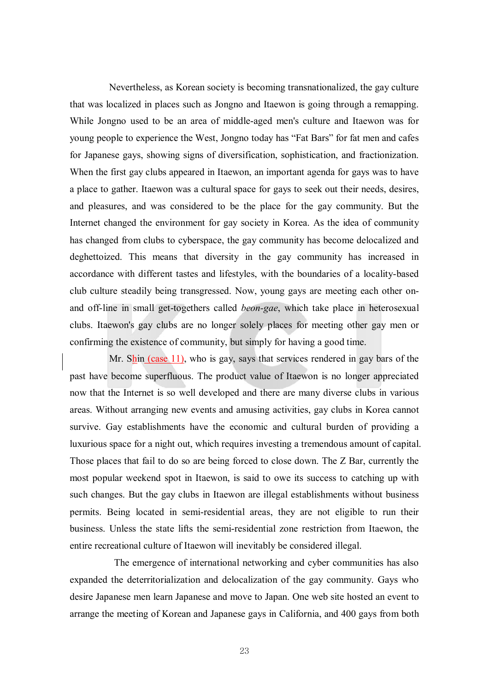Nevertheless, as Korean society is becoming transnationalized, the gay culture that was localized in places such as Jongno and Itaewon is going through a remapping. While Jongno used to be an area of middle-aged men's culture and Itaewon was for young people to experience the West, Jongno today has "Fat Bars" for fat men and cafes for Japanese gays, showing signs of diversification, sophistication, and fractionization. When the first gay clubs appeared in Itaewon, an important agenda for gays was to have a place to gather. Itaewon was a cultural space for gays to seek out their needs, desires, and pleasures, and was considered to be the place for the gay community. But the Internet changed the environment for gay society in Korea. As the idea of community has changed from clubs to cyberspace, the gay community has become delocalized and deghettoized. This means that diversity in the gay community has increased in accordance with different tastes and lifestyles, with the boundaries of a locality-based club culture steadily being transgressed. Now, young gays are meeting each other onand off-line in small get-togethers called *beon-gae*, which take place in heterosexual clubs. Itaewon's gay clubs are no longer solely places for meeting other gay men or confirming the existence of community, but simply for having a good time.

Mr. Shin (case 11), who is gay, says that services rendered in gay bars of the past have become superfluous. The product value of Itaewon is no longer appreciated now that the Internet is so well developed and there are many diverse clubs in various areas. Without arranging new events and amusing activities, gay clubs in Korea cannot survive. Gay establishments have the economic and cultural burden of providing a luxurious space for a night out, which requires investing a tremendous amount of capital. Those places that fail to do so are being forced to close down. The Z Bar, currently the most popular weekend spot in Itaewon, is said to owe its success to catching up with such changes. But the gay clubs in Itaewon are illegal establishments without business permits. Being located in semi-residential areas, they are not eligible to run their business. Unless the state lifts the semi-residential zone restriction from Itaewon, the entire recreational culture of Itaewon will inevitably be considered illegal.

The emergence of international networking and cyber communities has also expanded the deterritorialization and delocalization of the gay community. Gays who desire Japanese men learn Japanese and move to Japan. One web site hosted an event to arrange the meeting of Korean and Japanese gays in California, and 400 gays from both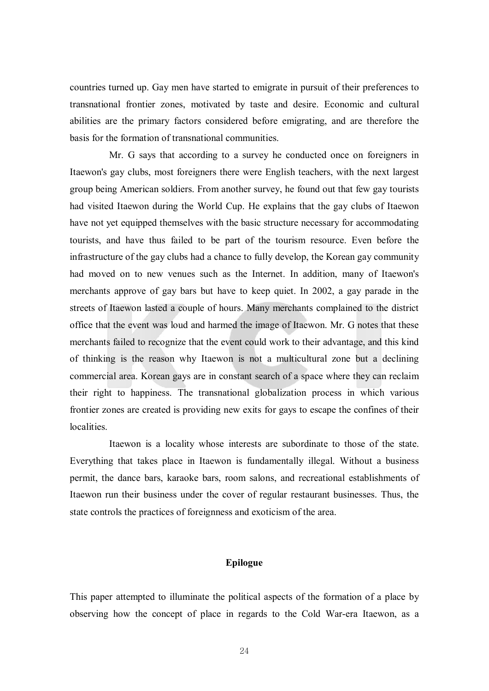countries turned up. Gay men have started to emigrate in pursuit of their preferences to transnational frontier zones, motivated by taste and desire. Economic and cultural abilities are the primary factors considered before emigrating, and are therefore the basis for the formation of transnational communities.

Mr. G says that according to a survey he conducted once on foreigners in Itaewon's gay clubs, most foreigners there were English teachers, with the next largest group being American soldiers. From another survey, he found out that few gay tourists had visited Itaewon during the World Cup. He explains that the gay clubs of Itaewon have not yet equipped themselves with the basic structure necessary for accommodating tourists, and have thus failed to be part of the tourism resource. Even before the infrastructure of the gay clubs had a chance to fully develop, the Korean gay community had moved on to new venues such as the Internet. In addition, many of Itaewon's merchants approve of gay bars but have to keep quiet. In 2002, a gay parade in the streets of Itaewon lasted a couple of hours. Many merchants complained to the district office that the event was loud and harmed the image of Itaewon. Mr. G notes that these merchants failed to recognize that the event could work to their advantage, and this kind of thinking is the reason why Itaewon is not a multicultural zone but a declining commercial area. Korean gays are in constant search of a space where they can reclaim their right to happiness. The transnational globalization process in which various frontier zones are created is providing new exits for gays to escape the confines of their **localities** 

Itaewon is a locality whose interests are subordinate to those of the state. Everything that takes place in Itaewon is fundamentally illegal. Without a business permit, the dance bars, karaoke bars, room salons, and recreational establishments of Itaewon run their business under the cover of regular restaurant businesses. Thus, the state controls the practices of foreignness and exoticism of the area.

#### **Epilogue**

This paper attempted to illuminate the political aspects of the formation of a place by observing how the concept of place in regards to the Cold War-era Itaewon, as a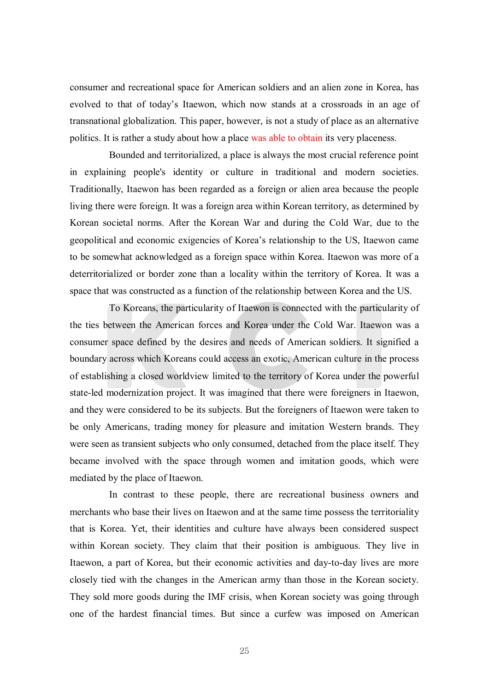consumer and recreational space for American soldiers and an alien zone in Korea, has evolved to that of today's Itaewon, which now stands at a crossroads in an age of transnational globalization. This paper, however, is not a study of place as an alternative politics. It is rather a study about how a place was able to obtain its very placeness.

Bounded and territorialized, a place is always the most crucial reference point in explaining people's identity or culture in traditional and modern societies. Traditionally, Itaewon has been regarded as a foreign or alien area because the people living there were foreign. It was a foreign area within Korean territory, as determined by Korean societal norms. After the Korean War and during the Cold War, due to the geopolitical and economic exigencies of Korea's relationship to the US, Itaewon came to be somewhat acknowledged as a foreign space within Korea. Itaewon was more of a deterritorialized or border zone than a locality within the territory of Korea. It was a space that was constructed as a function of the relationship between Korea and the US.

To Koreans, the particularity of Itaewon is connected with the particularity of the ties between the American forces and Korea under the Cold War. Itaewon was a consumer space defined by the desires and needs of American soldiers. It signified a boundary across which Koreans could access an exotic, American culture in the process of establishing a closed worldview limited to the territory of Korea under the powerful state-led modernization project. It was imagined that there were foreigners in Itaewon, and they were considered to be its subjects. But the foreigners of Itaewon were taken to be only Americans, trading money for pleasure and imitation Western brands. They were seen as transient subjects who only consumed, detached from the place itself. They became involved with the space through women and imitation goods, which were mediated by the place of Itaewon.

In contrast to these people, there are recreational business owners and merchants who base their lives on Itaewon and at the same time possess the territoriality that is Korea. Yet, their identities and culture have always been considered suspect within Korean society. They claim that their position is ambiguous. They live in Itaewon, a part of Korea, but their economic activities and day-to-day lives are more closely tied with the changes in the American army than those in the Korean society. They sold more goods during the IMF crisis, when Korean society was going through one of the hardest financial times. But since a curfew was imposed on American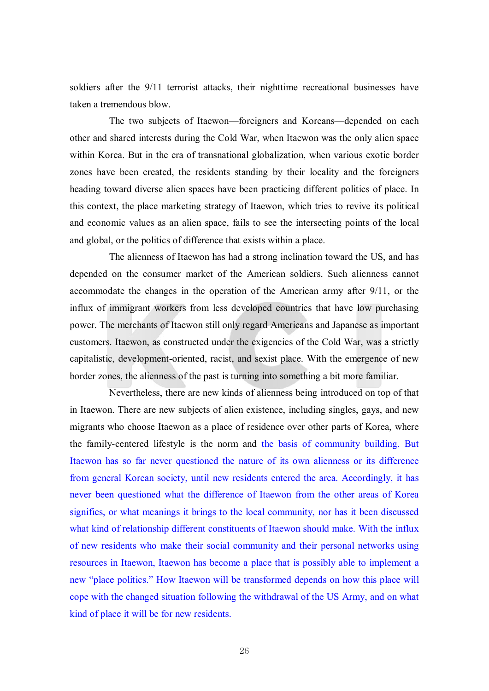soldiers after the 9/11 terrorist attacks, their nighttime recreational businesses have taken a tremendous blow.

The two subjects of Itaewon—foreigners and Koreans—depended on each other and shared interests during the Cold War, when Itaewon was the only alien space within Korea. But in the era of transnational globalization, when various exotic border zones have been created, the residents standing by their locality and the foreigners heading toward diverse alien spaces have been practicing different politics of place. In this context, the place marketing strategy of Itaewon, which tries to revive its political and economic values as an alien space, fails to see the intersecting points of the local and global, or the politics of difference that exists within a place.

The alienness of Itaewon has had a strong inclination toward the US, and has depended on the consumer market of the American soldiers. Such alienness cannot accommodate the changes in the operation of the American army after 9/11, or the influx of immigrant workers from less developed countries that have low purchasing power. The merchants of Itaewon still only regard Americans and Japanese as important customers. Itaewon, as constructed under the exigencies of the Cold War, was a strictly capitalistic, development-oriented, racist, and sexist place. With the emergence of new border zones, the alienness of the past is turning into something a bit more familiar.

Nevertheless, there are new kinds of alienness being introduced on top of that in Itaewon. There are new subjects of alien existence, including singles, gays, and new migrants who choose Itaewon as a place of residence over other parts of Korea, where the family-centered lifestyle is the norm and the basis of community building. But Itaewon has so far never questioned the nature of its own alienness or its difference from general Korean society, until new residents entered the area. Accordingly, it has never been questioned what the difference of Itaewon from the other areas of Korea signifies, or what meanings it brings to the local community, nor has it been discussed what kind of relationship different constituents of Itaewon should make. With the influx of new residents who make their social community and their personal networks using resources in Itaewon, Itaewon has become a place that is possibly able to implement a new "place politics." How Itaewon will be transformed depends on how this place will cope with the changed situation following the withdrawal of the US Army, and on what kind of place it will be for new residents.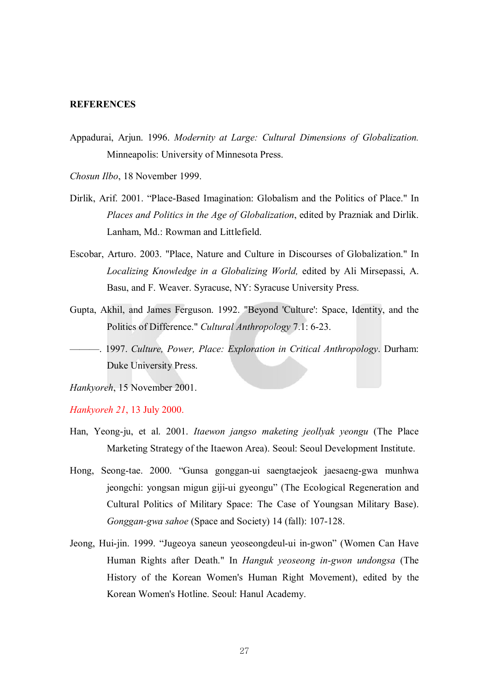# **REFERENCES**

- Appadurai, Arjun. 1996. *Modernity at Large: Cultural Dimensions of Globalization.* Minneapolis: University of Minnesota Press.
- *Chosun Ilbo*, 18 November 1999.
- Dirlik, Arif. 2001. "Place-Based Imagination: Globalism and the Politics of Place." In *Places and Politics in the Age of Globalization*, edited by Prazniak and Dirlik. Lanham, Md.: Rowman and Littlefield.
- Escobar, Arturo. 2003. "Place, Nature and Culture in Discourses of Globalization." In *Localizing Knowledge in a Globalizing World,* edited by Ali Mirsepassi, A. Basu, and F. Weaver. Syracuse, NY: Syracuse University Press.
- Gupta, Akhil, and James Ferguson. 1992. "Beyond 'Culture': Space, Identity, and the Politics of Difference." *Cultural Anthropology* 7.1: 6-23.
- ———. 1997. *Culture, Power, Place: Exploration in Critical Anthropology*. Durham: Duke University Press.

*Hankyoreh*, 15 November 2001.

*Hankyoreh 21*, 13 July 2000.

- Han, Yeong-ju, et al. 2001. *Itaewon jangso maketing jeollyak yeongu* (The Place Marketing Strategy of the Itaewon Area). Seoul: Seoul Development Institute.
- Hong, Seong-tae. 2000. "Gunsa gonggan-ui saengtaejeok jaesaeng-gwa munhwa jeongchi: yongsan migun giji-ui gyeongu" (The Ecological Regeneration and Cultural Politics of Military Space: The Case of Youngsan Military Base). *Gonggan-gwa sahoe* (Space and Society) 14 (fall): 107-128.
- Jeong, Hui-jin. 1999. "Jugeoya saneun yeoseongdeul-ui in-gwon" (Women Can Have Human Rights after Death." In *Hanguk yeoseong in-gwon undongsa* (The History of the Korean Women's Human Right Movement), edited by the Korean Women's Hotline. Seoul: Hanul Academy.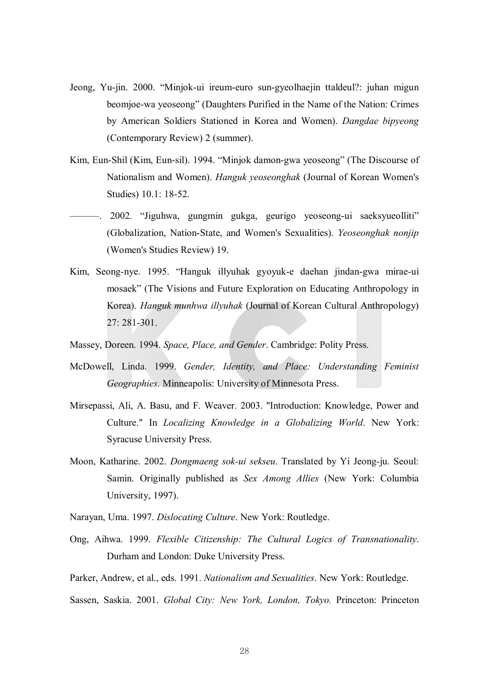- Jeong, Yu-jin. 2000. "Minjok-ui ireum-euro sun-gyeolhaejin ttaldeul?: juhan migun beomjoe-wa yeoseong" (Daughters Purified in the Name of the Nation: Crimes by American Soldiers Stationed in Korea and Women). *Dangdae bipyeong* (Contemporary Review) 2 (summer).
- Kim, Eun-Shil (Kim, Eun-sil). 1994. "Minjok damon-gwa yeoseong" (The Discourse of Nationalism and Women). *Hanguk yeoseonghak* (Journal of Korean Women's Studies) 10.1: 18-52.
- ———. 2002. "Jiguhwa, gungmin gukga, geurigo yeoseong-ui saeksyueolliti" (Globalization, Nation-State, and Women's Sexualities). *Yeoseonghak nonjip* (Women's Studies Review) 19.
- Kim, Seong-nye. 1995. "Hanguk illyuhak gyoyuk-e daehan jindan-gwa mirae-ui mosaek" (The Visions and Future Exploration on Educating Anthropology in Korea). *Hanguk munhwa illyuhak* (Journal of Korean Cultural Anthropology) 27: 281-301.
- Massey, Doreen. 1994. *Space, Place, and Gender*. Cambridge: Polity Press.
- McDowell, Linda. 1999. *Gender, Identity, and Place: Understanding Feminist Geographies*. Minneapolis: University of Minnesota Press.
- Mirsepassi, Ali, A. Basu, and F. Weaver. 2003. "Introduction: Knowledge, Power and Culture." In *Localizing Knowledge in a Globalizing World*. New York: Syracuse University Press.
- Moon, Katharine. 2002. *Dongmaeng sok-ui sekseu*. Translated by Yi Jeong-ju. Seoul: Samin. Originally published as *Sex Among Allies* (New York: Columbia University, 1997).
- Narayan, Uma. 1997. *Dislocating Culture*. New York: Routledge.
- Ong, Aihwa. 1999. *Flexible Citizenship: The Cultural Logics of Transnationality*. Durham and London: Duke University Press.
- Parker, Andrew, et al., eds. 1991. *Nationalism and Sexualities*. New York: Routledge.
- Sassen, Saskia. 2001. *Global City: New York, London, Tokyo.* Princeton: Princeton